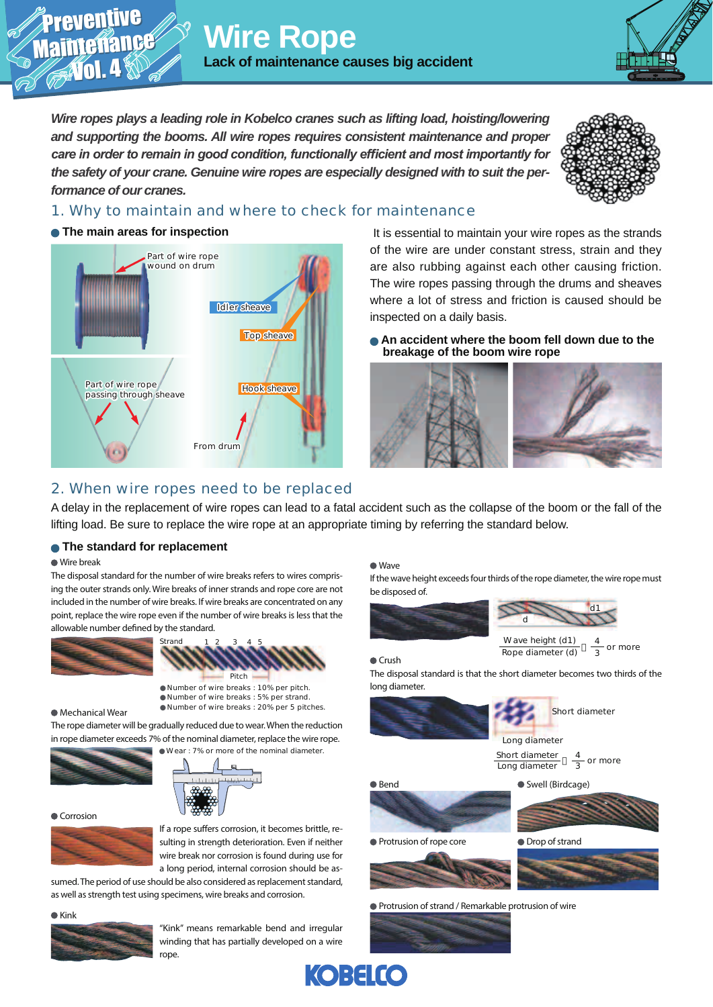**Wire Rope Lack of maintenance causes big accident**

*Wire ropes plays a leading role in Kobelco cranes such as lifting load, hoisting/lowering and supporting the booms. All wire ropes requires consistent maintenance and proper Fare in order to remain in good condition, functionally efficient and most importantly for the safety of your crane. Genuine wire ropes are especially designed with to suit the performance of our cranes.* 



### 1. Why to maintain and where to check for maintenance

### **• The main areas for inspection**

Preventive Preventive

Maintenance Maintenance

Vol. 4 Vol. 4



 It is essential to maintain your wire ropes as the strands of the wire are under constant stress, strain and they are also rubbing against each other causing friction. The wire ropes passing through the drums and sheaves where a lot of stress and friction is caused should be inspected on a daily basis.

 **An accident where the boom fell down due to the breakage of the boom wire rope**



# 2. When wire ropes need to be replaced

A delay in the replacement of wire ropes can lead to a fatal accident such as the collapse of the boom or the fall of the lifting load. Be sure to replace the wire rope at an appropriate timing by referring the standard below.

### **• The standard for replacement**

#### Wire break

The disposal standard for the number of wire breaks refers to wires comprising the outer strands only. Wire breaks of inner strands and rope core are not included in the number of wire breaks. If wire breaks are concentrated on any point, replace the wire rope even if the number of wire breaks is less that the allowable number defined by the standard.



Number of wire breaks : 10% per pitch. Number of wire breaks : 5% per strand. Number of wire breaks : 20% per 5 pitches.

#### Mechanical Wear

The rope diameter will be gradually reduced due to wear. When the reduction in rope diameter exceeds 7% of the nominal diameter, replace the wire rope.





Corrosion



If a rope suffers corrosion, it becomes brittle, resulting in strength deterioration. Even if neither wire break nor corrosion is found during use for a long period, internal corrosion should be as-

sumed. The period of use should be also considered as replacement standard, as well as strength test using specimens, wire breaks and corrosion.

 $\triangle$  Kink



"Kink" means remarkable bend and irregular winding that has partially developed on a wire rope

#### Wave

If the wave height exceeds four thirds of the rope diameter, the wire rope must be disposed of.





 $C$ rush

The disposal standard is that the short diameter becomes two thirds of the long diameter.





Short diameter Long diameter Long diameter

4 or more

Swell (Birdcage)

**B**end



**Protrusion of rope core** 



Protrusion of strand / Remarkable protrusion of wire